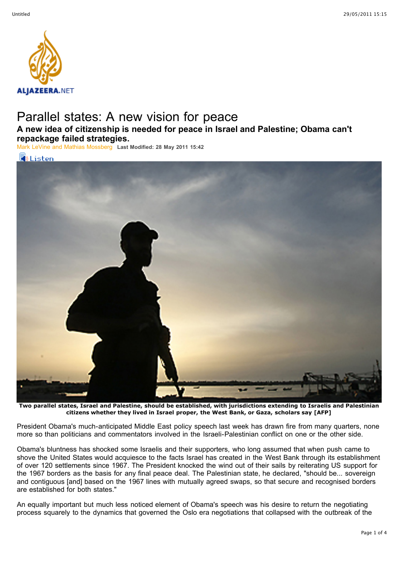

## Parallel states: A new vision for peace

**A new idea of citizenship is needed for peace in Israel and Palestine; Obama can't repackage failed strategies.**

[Mark LeVine and Mathias Mossberg](http://english.aljazeera.net/indepth/opinion/profile/mark-levine-and-mathias-mossberg.html) **Last Modified: 28 May 2011 15:42**



**Two parallel states, Israel and Palestine, should be established, with jurisdictions extending to Israelis and Palestinian citizens whether they lived in Israel proper, the West Bank, or Gaza, scholars say [AFP]**

President Obama's much-anticipated Middle East policy speech last week has drawn fire from many quarters, none more so than politicians and commentators involved in the Israeli-Palestinian conflict on one or the other side.

Obama's bluntness has shocked some Israelis and their supporters, who long assumed that when push came to shove the United States would acquiesce to the facts Israel has created in the West Bank through its establishment of over 120 settlements since 1967. The President knocked the wind out of their sails by reiterating US support for the 1967 borders as the basis for any final peace deal. The Palestinian state, he declared, "should be... sovereign and contiguous [and] based on the 1967 lines with mutually agreed swaps, so that secure and recognised borders are established for both states."

An equally important but much less noticed element of Obama's speech was his desire to return the negotiating process squarely to the dynamics that governed the Oslo era negotiations that collapsed with the outbreak of the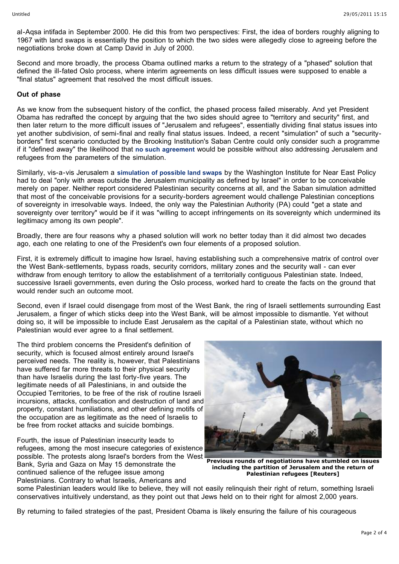al-Aqsa intifada in September 2000. He did this from two perspectives: First, the idea of borders roughly aligning to 1967 with land swaps is essentially the position to which the two sides were allegedly close to agreeing before the negotiations broke down at Camp David in July of 2000.

Second and more broadly, the process Obama outlined marks a return to the strategy of a "phased" solution that defined the ill-fated Oslo process, where interim agreements on less difficult issues were supposed to enable a "final status" agreement that resolved the most difficult issues.

## **Out of phase**

As we know from the subsequent history of the conflict, the phased process failed miserably. And yet President Obama has redrafted the concept by arguing that the two sides should agree to "territory and security" first, and then later return to the more difficult issues of "Jerusalem and refugees", essentially dividing final status issues into yet another subdivision, of semi-final and really final status issues. Indeed, a recent "simulation" of such a "securityborders" first scenario conducted by the Brooking Institution's Saban Centre could only consider such a programme if it "defined away" the likelihood that **[no such agreement](http://www.brookings.edu/reports/2011/05_israel_palestine_border_pollack.aspx)** would be possible without also addressing Jerusalem and refugees from the parameters of the simulation.

Similarly, vis-a-vis Jerusalem a **[simulation of possible land swaps](http://www.washingtoninstitute.org/pubPDFs/StrategicReport06.pdf)** by the Washington Institute for Near East Policy had to deal "only with areas outside the Jerusalem municipality as defined by Israel" in order to be conceivable merely on paper. Neither report considered Palestinian security concerns at all, and the Saban simulation admitted that most of the conceivable provisions for a security-borders agreement would challenge Palestinian conceptions of sovereignty in irresolvable ways. Indeed, the only way the Palestinian Authority (PA) could "get a state and sovereignty over territory" would be if it was "willing to accept infringements on its sovereignty which undermined its legitimacy among its own people".

Broadly, there are four reasons why a phased solution will work no better today than it did almost two decades ago, each one relating to one of the President's own four elements of a proposed solution.

First, it is extremely difficult to imagine how Israel, having establishing such a comprehensive matrix of control over the West Bank-settlements, bypass roads, security corridors, military zones and the security wall - can ever withdraw from enough territory to allow the establishment of a territorially contiguous Palestinian state. Indeed, successive Israeli governments, even during the Oslo process, worked hard to create the facts on the ground that would render such an outcome moot.

Second, even if Israel could disengage from most of the West Bank, the ring of Israeli settlements surrounding East Jerusalem, a finger of which sticks deep into the West Bank, will be almost impossible to dismantle. Yet without doing so, it will be impossible to include East Jerusalem as the capital of a Palestinian state, without which no Palestinian would ever agree to a final settlement.

The third problem concerns the President's definition of security, which is focused almost entirely around Israel's perceived needs. The reality is, however, that Palestinians have suffered far more threats to their physical security than have Israelis during the last forty-five years. The legitimate needs of all Palestinians, in and outside the Occupied Territories, to be free of the risk of routine Israeli incursions, attacks, confiscation and destruction of land and property, constant humiliations, and other defining motifs of the occupation are as legitimate as the need of Israelis to be free from rocket attacks and suicide bombings.

Fourth, the issue of Palestinian insecurity leads to refugees, among the most insecure categories of existence possible. The protests along Israel's borders from the West Bank, Syria and Gaza on May 15 demonstrate the continued salience of the refugee issue among Palestinians. Contrary to what Israelis, Americans and



**Previous rounds of negotiations have stumbled on issues including the partition of Jerusalem and the return of Palestinian refugees [Reuters]**

some Palestinian leaders would like to believe, they will not easily relinguish their right of return, something Israeli conservatives intuitively understand, as they point out that Jews held on to their right for almost 2,000 years.

By returning to failed strategies of the past, President Obama is likely ensuring the failure of his courageous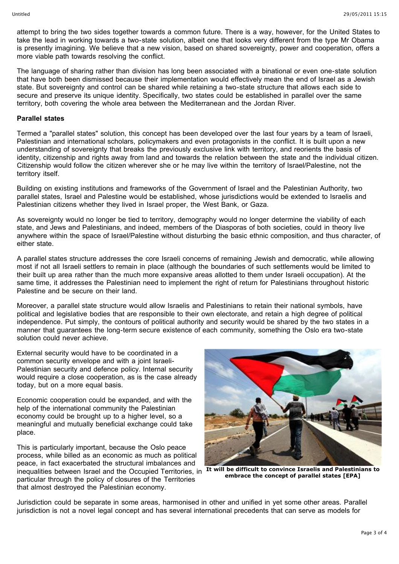attempt to bring the two sides together towards a common future. There is a way, however, for the United States to take the lead in working towards a two-state solution, albeit one that looks very different from the type Mr Obama is presently imagining. We believe that a new vision, based on shared sovereignty, power and cooperation, offers a more viable path towards resolving the conflict.

The language of sharing rather than division has long been associated with a binational or even one-state solution that have both been dismissed because their implementation would effectively mean the end of Israel as a Jewish state. But sovereignty and control can be shared while retaining a two-state structure that allows each side to secure and preserve its unique identity. Specifically, two states could be established in parallel over the same territory, both covering the whole area between the Mediterranean and the Jordan River.

## **Parallel states**

Termed a "parallel states" solution, this concept has been developed over the last four years by a team of Israeli, Palestinian and international scholars, policymakers and even protagonists in the conflict. It is built upon a new understanding of sovereignty that breaks the previously exclusive link with territory, and reorients the basis of identity, citizenship and rights away from land and towards the relation between the state and the individual citizen. Citizenship would follow the citizen wherever she or he may live within the territory of Israel/Palestine, not the territory itself.

Building on existing institutions and frameworks of the Government of Israel and the Palestinian Authority, two parallel states, Israel and Palestine would be established, whose jurisdictions would be extended to Israelis and Palestinian citizens whether they lived in Israel proper, the West Bank, or Gaza.

As sovereignty would no longer be tied to territory, demography would no longer determine the viability of each state, and Jews and Palestinians, and indeed, members of the Diasporas of both societies, could in theory live anywhere within the space of Israel/Palestine without disturbing the basic ethnic composition, and thus character, of either state.

A parallel states structure addresses the core Israeli concerns of remaining Jewish and democratic, while allowing most if not all Israeli settlers to remain in place (although the boundaries of such settlements would be limited to their built up area rather than the much more expansive areas allotted to them under Israeli occupation). At the same time, it addresses the Palestinian need to implement the right of return for Palestinians throughout historic Palestine and be secure on their land.

Moreover, a parallel state structure would allow Israelis and Palestinians to retain their national symbols, have political and legislative bodies that are responsible to their own electorate, and retain a high degree of political independence. Put simply, the contours of political authority and security would be shared by the two states in a manner that guarantees the long-term secure existence of each community, something the Oslo era two-state solution could never achieve.

External security would have to be coordinated in a common security envelope and with a joint Israeli-Palestinian security and defence policy. Internal security would require a close cooperation, as is the case already today, but on a more equal basis.

Economic cooperation could be expanded, and with the help of the international community the Palestinian economy could be brought up to a higher level, so a meaningful and mutually beneficial exchange could take place.

inequalities between Israel and the Occupied Territories, in It will be difficult to convince Israelis and Palestinians to This is particularly important, because the Oslo peace process, while billed as an economic as much as political peace, in fact exacerbated the structural imbalances and particular through the policy of closures of the Territories that almost destroyed the Palestinian economy.



**embrace the concept of parallel states [EPA]**

Jurisdiction could be separate in some areas, harmonised in other and unified in yet some other areas. Parallel jurisdiction is not a novel legal concept and has several international precedents that can serve as models for